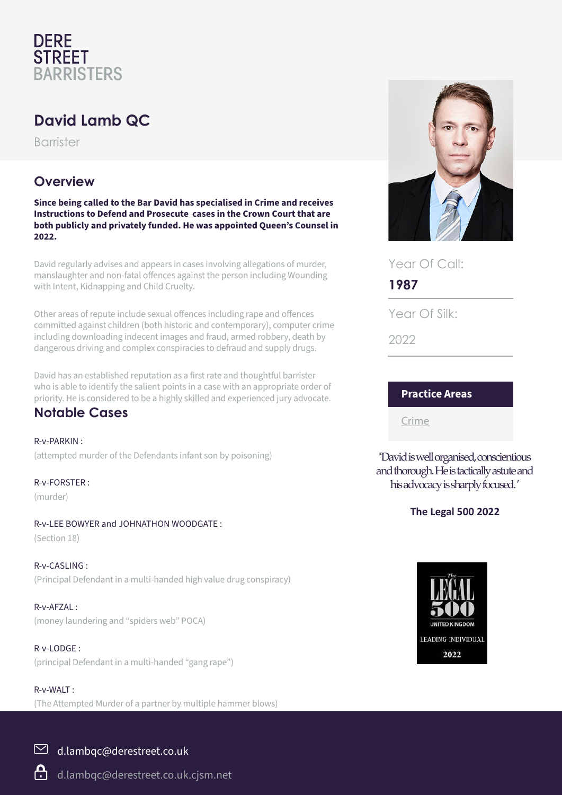# **DERE STREET BARRISTERS**

# **David Lamb QC**

Barrister

## **Overview**

**Since being called to the Bar David has specialised in Crime and receives Instructions to Defend and Prosecute cases in the Crown Court that are both publicly and privately funded. He was appointed Queen's Counsel in 2022.**

David regularly advises and appears in cases involving allegations of murder, manslaughter and non-fatal offences against the person including Wounding with Intent, Kidnapping and Child Cruelty.

Other areas of repute include sexual offences including rape and offences committed against children (both historic and contemporary), computer crime including downloading indecent images and fraud, armed robbery, death by dangerous driving and complex conspiracies to defraud and supply drugs.

David has an established reputation as a first rate and thoughtful barrister who is able to identify the salient points in a case with an appropriate order of priority. He is considered to be a highly skilled and experienced jury advocate.

### **Notable Cases**

R-v-PARKIN : (attempted murder of the Defendants infant son by poisoning)

R-v-FORSTER :

(murder)

#### R-v-LEE BOWYER and JOHNATHON WOODGATE :

(Section 18)

R-v-CASLING : (Principal Defendant in a multi-handed high value drug conspiracy)

R-v-AFZAL : (money laundering and "spiders web" POCA)

R-v-LODGE : (principal Defendant in a multi-handed "gang rape")

(The Attempted Murder of a partner by multiple hammer blows)



Year Of Call:

**1987**

Year Of Silk:

2022

#### **Practice Areas**

Crime

''David is well organised, conscientious and thorough. He is tactically astute and his advocacy is sharply focused. '

#### **The Legal 500 2022**



R-v-WALT :

### $\boxdot$  d.lambqc@derestreet.co.uk

d.lambqc@derestreet.co.uk.cjsm.net